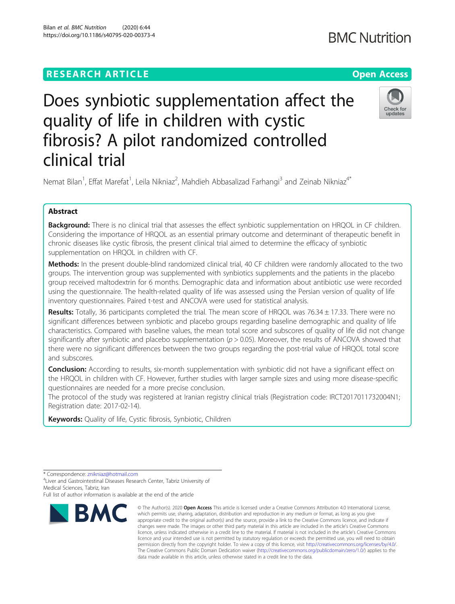# Bilan et al. BMC Nutrition (2020) 6:44 https://doi.org/10.1186/s40795-020-00373-4

# Does synbiotic supplementation affect the quality of life in children with cystic fibrosis? A pilot randomized controlled clinical trial

Nemat Bilan<sup>1</sup>, Effat Marefat<sup>1</sup>, Leila Nikniaz<sup>2</sup>, Mahdieh Abbasalizad Farhangi<sup>3</sup> and Zeinab Nikniaz<sup>4\*</sup>

# Abstract

Background: There is no clinical trial that assesses the effect synbiotic supplementation on HRQOL in CF children. Considering the importance of HRQOL as an essential primary outcome and determinant of therapeutic benefit in chronic diseases like cystic fibrosis, the present clinical trial aimed to determine the efficacy of synbiotic supplementation on HRQOL in children with CF.

Methods: In the present double-blind randomized clinical trial, 40 CF children were randomly allocated to the two groups. The intervention group was supplemented with synbiotics supplements and the patients in the placebo group received maltodextrin for 6 months. Demographic data and information about antibiotic use were recorded using the questionnaire. The health-related quality of life was assessed using the Persian version of quality of life inventory questionnaires. Paired t-test and ANCOVA were used for statistical analysis.

Results: Totally, 36 participants completed the trial. The mean score of HRQOL was 76.34 ± 17.33. There were no significant differences between synbiotic and placebo groups regarding baseline demographic and quality of life characteristics. Compared with baseline values, the mean total score and subscores of quality of life did not change significantly after synbiotic and placebo supplementation ( $p > 0.05$ ). Moreover, the results of ANCOVA showed that there were no significant differences between the two groups regarding the post-trial value of HRQOL total score and subscores.

**Conclusion:** According to results, six-month supplementation with synbiotic did not have a significant effect on the HRQOL in children with CF. However, further studies with larger sample sizes and using more disease-specific questionnaires are needed for a more precise conclusion.

The protocol of the study was registered at Iranian registry clinical trials (Registration code: IRCT2017011732004N1; Registration date: 2017-02-14).

Keywords: Quality of life, Cystic fibrosis, Synbiotic, Children

Full list of author information is available at the end of the article



<sup>©</sup> The Author(s), 2020 **Open Access** This article is licensed under a Creative Commons Attribution 4.0 International License, which permits use, sharing, adaptation, distribution and reproduction in any medium or format, as long as you give appropriate credit to the original author(s) and the source, provide a link to the Creative Commons licence, and indicate if changes were made. The images or other third party material in this article are included in the article's Creative Commons licence, unless indicated otherwise in a credit line to the material. If material is not included in the article's Creative Commons licence and your intended use is not permitted by statutory regulation or exceeds the permitted use, you will need to obtain permission directly from the copyright holder. To view a copy of this licence, visit [http://creativecommons.org/licenses/by/4.0/.](http://creativecommons.org/licenses/by/4.0/) The Creative Commons Public Domain Dedication waiver [\(http://creativecommons.org/publicdomain/zero/1.0/](http://creativecommons.org/publicdomain/zero/1.0/)) applies to the data made available in this article, unless otherwise stated in a credit line to the data.



<sup>\*</sup> Correspondence: [znikniaz@hotmail.com](mailto:znikniaz@hotmail.com) <sup>4</sup>

<sup>&</sup>lt;sup>4</sup> Liver and Gastrointestinal Diseases Research Center, Tabriz University of Medical Sciences, Tabriz, Iran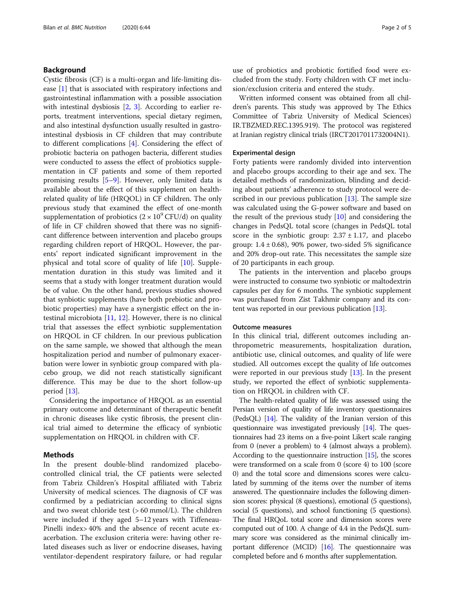# Background

Cystic fibrosis (CF) is a multi-organ and life-limiting disease [[1\]](#page-4-0) that is associated with respiratory infections and gastrointestinal inflammation with a possible association with intestinal dysbiosis [\[2](#page-4-0), [3](#page-4-0)]. According to earlier reports, treatment interventions, special dietary regimen, and also intestinal dysfunction usually resulted in gastrointestinal dysbiosis in CF children that may contribute to different complications [[4\]](#page-4-0). Considering the effect of probiotic bacteria on pathogen bacteria, different studies were conducted to assess the effect of probiotics supplementation in CF patients and some of them reported promising results [\[5](#page-4-0)–[9](#page-4-0)]. However, only limited data is available about the effect of this supplement on healthrelated quality of life (HRQOL) in CF children. The only previous study that examined the effect of one-month supplementation of probiotics  $(2 \times 10^9 \text{ CFU/d})$  on quality of life in CF children showed that there was no significant difference between intervention and placebo groups regarding children report of HRQOL. However, the parents' report indicated significant improvement in the physical and total score of quality of life [[10](#page-4-0)]. Supplementation duration in this study was limited and it seems that a study with longer treatment duration would be of value. On the other hand, previous studies showed that synbiotic supplements (have both prebiotic and probiotic properties) may have a synergistic effect on the intestinal microbiota [[11,](#page-4-0) [12\]](#page-4-0). However, there is no clinical trial that assesses the effect synbiotic supplementation on HRQOL in CF children. In our previous publication on the same sample, we showed that although the mean hospitalization period and number of pulmonary exacerbation were lower in synbiotic group compared with placebo group, we did not reach statistically significant difference. This may be due to the short follow-up period [[13\]](#page-4-0).

Considering the importance of HRQOL as an essential primary outcome and determinant of therapeutic benefit in chronic diseases like cystic fibrosis, the present clinical trial aimed to determine the efficacy of synbiotic supplementation on HRQOL in children with CF.

# Methods

In the present double-blind randomized placebocontrolled clinical trial, the CF patients were selected from Tabriz Children's Hospital affiliated with Tabriz University of medical sciences. The diagnosis of CF was confirmed by a pediatrician according to clinical signs and two sweat chloride test  $(> 60 \text{ mmol/L})$ . The children were included if they aged 5–12 years with Tiffeneau-Pinelli index> 40% and the absence of recent acute exacerbation. The exclusion criteria were: having other related diseases such as liver or endocrine diseases, having ventilator-dependent respiratory failure, or had regular use of probiotics and probiotic fortified food were excluded from the study. Forty children with CF met inclusion/exclusion criteria and entered the study.

Written informed consent was obtained from all children's parents. This study was approved by The Ethics Committee of Tabriz University of Medical Sciences) IR.TBZMED.REC.1395.919). The protocol was registered at Iranian registry clinical trials (IRCT2017011732004N1).

# Experimental design

Forty patients were randomly divided into intervention and placebo groups according to their age and sex. The detailed methods of randomization, blinding and deciding about patients' adherence to study protocol were described in our previous publication  $[13]$  $[13]$  $[13]$ . The sample size was calculated using the G-power software and based on the result of the previous study [[10](#page-4-0)] and considering the changes in PedsQL total score (changes in PedsQL total score in the synbiotic group:  $2.37 \pm 1.17$ , and placebo group:  $1.4 \pm 0.68$ ), 90% power, two-sided 5% significance and 20% drop-out rate. This necessitates the sample size of 20 participants in each group.

The patients in the intervention and placebo groups were instructed to consume two synbiotic or maltodextrin capsules per day for 6 months. The synbiotic supplement was purchased from Zist Takhmir company and its content was reported in our previous publication [\[13\]](#page-4-0).

### Outcome measures

In this clinical trial, different outcomes including anthropometric measurements, hospitalization duration, antibiotic use, clinical outcomes, and quality of life were studied. All outcomes except the quality of life outcomes were reported in our previous study [\[13](#page-4-0)]. In the present study, we reported the effect of synbiotic supplementation on HRQOL in children with CF.

The health-related quality of life was assessed using the Persian version of quality of life inventory questionnaires (PedsOL)  $[14]$  $[14]$ . The validity of the Iranian version of this questionnaire was investigated previously [\[14\]](#page-4-0). The questionnaires had 23 items on a five-point Likert scale ranging from 0 (never a problem) to 4 (almost always a problem). According to the questionnaire instruction [\[15](#page-4-0)], the scores were transformed on a scale from 0 (score 4) to 100 (score 0) and the total score and dimensions scores were calculated by summing of the items over the number of items answered. The questionnaire includes the following dimension scores: physical (8 questions), emotional (5 questions), social (5 questions), and school functioning (5 questions). The final HRQoL total score and dimension scores were computed out of 100. A change of 4.4 in the PedsQL summary score was considered as the minimal clinically important difference (MCID)  $[16]$  $[16]$  $[16]$ . The questionnaire was completed before and 6 months after supplementation.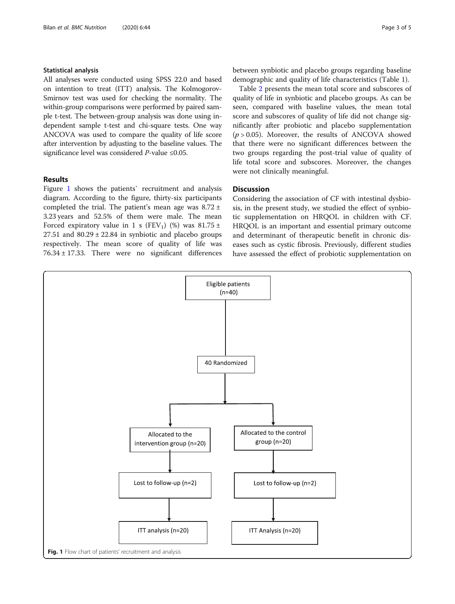# Statistical analysis

All analyses were conducted using SPSS 22.0 and based on intention to treat (ITT) analysis. The Kolmogorov-Smirnov test was used for checking the normality. The within-group comparisons were performed by paired sample t-test. The between-group analysis was done using independent sample t-test and chi-square tests. One way ANCOVA was used to compare the quality of life score after intervention by adjusting to the baseline values. The significance level was considered  $P$ -value ≤0.05.

# Results

Figure 1 shows the patients` recruitment and analysis diagram. According to the figure, thirty-six participants completed the trial. The patient's mean age was  $8.72 \pm$ 3.23 years and 52.5% of them were male. The mean Forced expiratory value in 1 s (FEV<sub>1</sub>) (%) was  $81.75 \pm$ 27.51 and  $80.29 \pm 22.84$  in synbiotic and placebo groups respectively. The mean score of quality of life was  $76.34 \pm 17.33$ . There were no significant differences between synbiotic and placebo groups regarding baseline demographic and quality of life characteristics (Table [1\)](#page-3-0).

Table [2](#page-3-0) presents the mean total score and subscores of quality of life in synbiotic and placebo groups. As can be seen, compared with baseline values, the mean total score and subscores of quality of life did not change significantly after probiotic and placebo supplementation  $(p > 0.05)$ . Moreover, the results of ANCOVA showed that there were no significant differences between the two groups regarding the post-trial value of quality of life total score and subscores. Moreover, the changes were not clinically meaningful.

# **Discussion**

Considering the association of CF with intestinal dysbiosis, in the present study, we studied the effect of synbiotic supplementation on HRQOL in children with CF. HRQOL is an important and essential primary outcome and determinant of therapeutic benefit in chronic diseases such as cystic fibrosis. Previously, different studies have assessed the effect of probiotic supplementation on

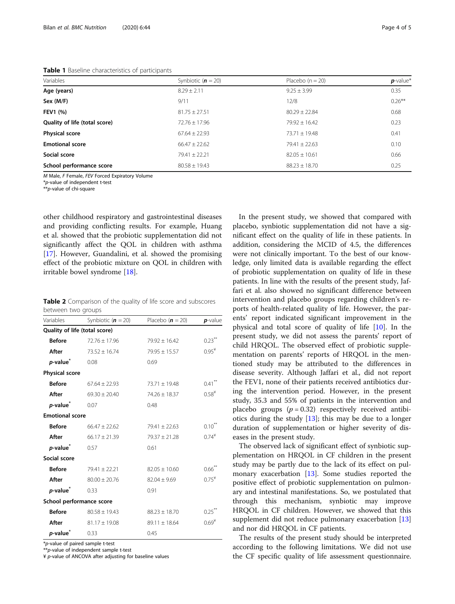<span id="page-3-0"></span>Table 1 Baseline characteristics of participants

| Variables                     | Synbiotic ( $n = 20$ ) | Placebo $(n = 20)$ | $p$ -value* |
|-------------------------------|------------------------|--------------------|-------------|
| Age (years)                   | $8.29 \pm 2.11$        | $9.25 \pm 3.99$    | 0.35        |
| Sex (M/F)                     | 9/11                   | 12/8               | $0.26***$   |
| FEV1 (%)                      | $81.75 + 27.51$        | $80.29 + 22.84$    | 0.68        |
| Quality of life (total score) | $72.76 \pm 17.96$      | $79.92 + 16.42$    | 0.23        |
| <b>Physical score</b>         | $67.64 \pm 22.93$      | $73.71 \pm 19.48$  | 0.41        |
| <b>Emotional score</b>        | $66.47 + 22.62$        | $79.41 \pm 22.63$  | 0.10        |
| Social score                  | $79.41 + 22.21$        | $82.05 + 10.61$    | 0.66        |
| School performance score      | $80.58 + 19.43$        | $88.23 \pm 18.70$  | 0.25        |

M Male, F Female, FEV Forced Expiratory Volume

\*p-value of independent t-test

\*\*p-value of chi-square

other childhood respiratory and gastrointestinal diseases and providing conflicting results. For example, Huang et al. showed that the probiotic supplementation did not significantly affect the QOL in children with asthma [[17\]](#page-4-0). However, Guandalini, et al. showed the promising effect of the probiotic mixture on QOL in children with irritable bowel syndrome [\[18\]](#page-4-0).

Table 2 Comparison of the quality of life score and subscores between two groups

| Variables                    | Synbiotic $(n = 20)$          | Placebo $(n = 20)$ | $p$ -value           |
|------------------------------|-------------------------------|--------------------|----------------------|
|                              | Quality of life (total score) |                    |                      |
| <b>Before</b>                | $72.76 + 17.96$               | $79.92 + 16.42$    | 0.23                 |
| After                        | $73.52 \pm 16.74$             | $79.95 \pm 15.57$  | $0.95*$              |
| <i>p</i> -value <sup>*</sup> | 0.08                          | 0.69               |                      |
| <b>Physical score</b>        |                               |                    |                      |
| <b>Before</b>                | $67.64 \pm 22.93$             | $73.71 \pm 19.48$  | $0.41$ <sup>**</sup> |
| After                        | $69.30 \pm 20.40$             | $74.26 \pm 18.37$  | $0.58*$              |
| <i>p</i> -value <sup>*</sup> | 0.07                          | 0.48               |                      |
| <b>Emotional score</b>       |                               |                    |                      |
| <b>Before</b>                | $66.47 + 22.62$               | $79.41 \pm 22.63$  | $0.10^{*}$           |
| After                        | $66.17 \pm 21.39$             | $79.37 \pm 21.28$  | $0.74^*$             |
| p-value <sup>*</sup>         | 0.57                          | 0.61               |                      |
| Social score                 |                               |                    |                      |
| <b>Before</b>                | $79.41 \pm 22.21$             | $82.05 \pm 10.60$  | 0.66                 |
| After                        | $80.00 \pm 20.76$             | $82.04 \pm 9.69$   | $0.75^{*}$           |
| <i>p</i> -value <sup>*</sup> | 0.33                          | 0.91               |                      |
|                              | School performance score      |                    |                      |
| <b>Before</b>                | $80.58 \pm 19.43$             | $88.23 \pm 18.70$  | $0.25^{\degree}$     |
| After                        | $81.17 \pm 19.08$             | $89.11 \pm 18.64$  | $0.69*$              |
| <i>p</i> -value              | 0.33                          | 0.45               |                      |

\*p-value of paired sample t-test

\*\*p-value of independent sample t-test

¥ p-value of ANCOVA after adjusting for baseline values

In the present study, we showed that compared with placebo, synbiotic supplementation did not have a significant effect on the quality of life in these patients. In addition, considering the MCID of 4.5, the differences were not clinically important. To the best of our knowledge, only limited data is available regarding the effect of probiotic supplementation on quality of life in these patients. In line with the results of the present study, Jaffari et al. also showed no significant difference between intervention and placebo groups regarding children's reports of health-related quality of life. However, the parents' report indicated significant improvement in the physical and total score of quality of life [[10\]](#page-4-0). In the present study, we did not assess the parents' report of child HRQOL. The observed effect of probiotic supplementation on parents' reports of HRQOL in the mentioned study may be attributed to the differences in disease severity. Although Jaffari et al., did not report the FEV1, none of their patients received antibiotics during the intervention period. However, in the present study, 35.3 and 55% of patients in the intervention and placebo groups  $(p = 0.32)$  respectively received antibiotics during the study [\[13\]](#page-4-0); this may be due to a longer duration of supplementation or higher severity of diseases in the present study.

The observed lack of significant effect of synbiotic supplementation on HRQOL in CF children in the present study may be partly due to the lack of its effect on pulmonary exacerbation [\[13](#page-4-0)]. Some studies reported the positive effect of probiotic supplementation on pulmonary and intestinal manifestations. So, we postulated that through this mechanism, synbiotic may improve HRQOL in CF children. However, we showed that this supplement did not reduce pulmonary exacerbation [[13](#page-4-0)] and nor did HRQOL in CF patients.

The results of the present study should be interpreted according to the following limitations. We did not use the CF specific quality of life assessment questionnaire.